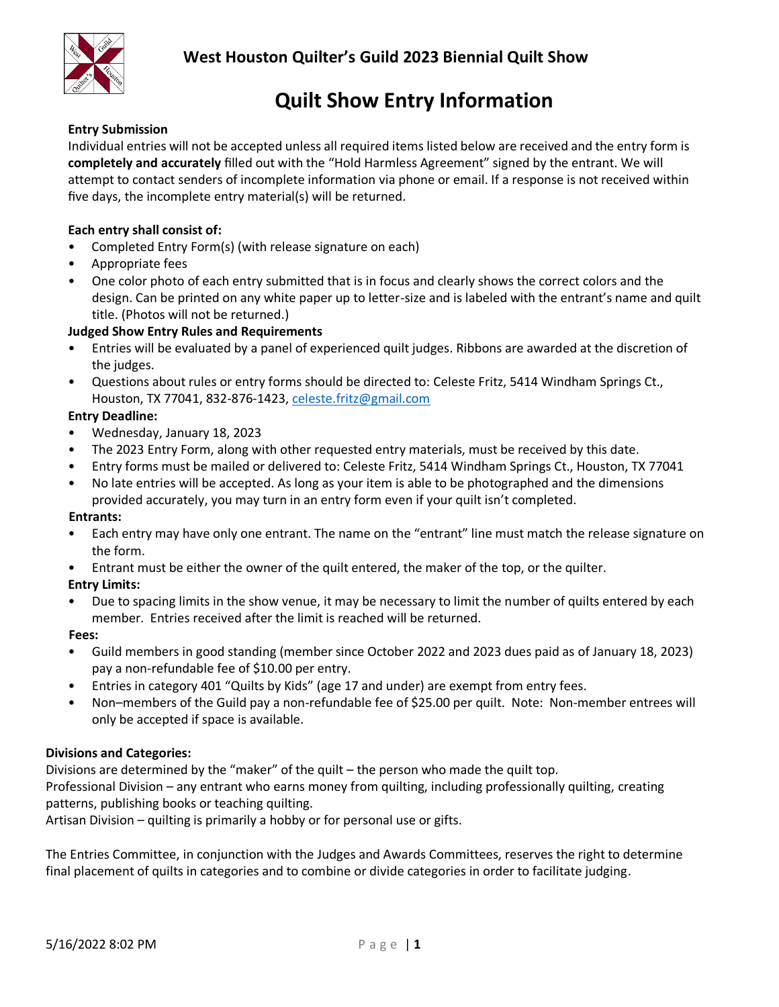

## **Quilt Show Entry Information**

### **Entry Submission**

Individual entries will not be accepted unless all required items listed below are received and the entry form is **completely and accurately** filled out with the "Hold Harmless Agreement" signed by the entrant. We will attempt to contact senders of incomplete information via phone or email. If a response is not received within five days, the incomplete entry material(s) will be returned.

### **Each entry shall consist of:**

- Completed Entry Form(s) (with release signature on each)
- Appropriate fees
- One color photo of each entry submitted that is in focus and clearly shows the correct colors and the design. Can be printed on any white paper up to letter-size and is labeled with the entrant's name and quilt title. (Photos will not be returned.)

### **Judged Show Entry Rules and Requirements**

- Entries will be evaluated by a panel of experienced quilt judges. Ribbons are awarded at the discretion of the judges.
- Questions about rules or entry forms should be directed to: Celeste Fritz, 5414 Windham Springs Ct., Houston, TX 77041, 832-876-1423, [celeste.fritz@gmail.com](mailto:celeste.fritz@gmail.com)

### **Entry Deadline:**

- Wednesday, January 18, 2023
- The 2023 Entry Form, along with other requested entry materials, must be received by this date.
- Entry forms must be mailed or delivered to: Celeste Fritz, 5414 Windham Springs Ct., Houston, TX 77041
- No late entries will be accepted. As long as your item is able to be photographed and the dimensions provided accurately, you may turn in an entry form even if your quilt isn't completed.

### **Entrants:**

- Each entry may have only one entrant. The name on the "entrant" line must match the release signature on the form.
- Entrant must be either the owner of the quilt entered, the maker of the top, or the quilter.

### **Entry Limits:**

• Due to spacing limits in the show venue, it may be necessary to limit the number of quilts entered by each member. Entries received after the limit is reached will be returned.

### **Fees:**

- Guild members in good standing (member since October 2022 and 2023 dues paid as of January 18, 2023) pay a non-refundable fee of \$10.00 per entry.
- Entries in category 401 "Quilts by Kids" (age 17 and under) are exempt from entry fees.
- Non–members of the Guild pay a non-refundable fee of \$25.00 per quilt. Note: Non-member entrees will only be accepted if space is available.

### **Divisions and Categories:**

Divisions are determined by the "maker" of the quilt – the person who made the quilt top. Professional Division – any entrant who earns money from quilting, including professionally quilting, creating patterns, publishing books or teaching quilting.

Artisan Division – quilting is primarily a hobby or for personal use or gifts.

The Entries Committee, in conjunction with the Judges and Awards Committees, reserves the right to determine final placement of quilts in categories and to combine or divide categories in order to facilitate judging.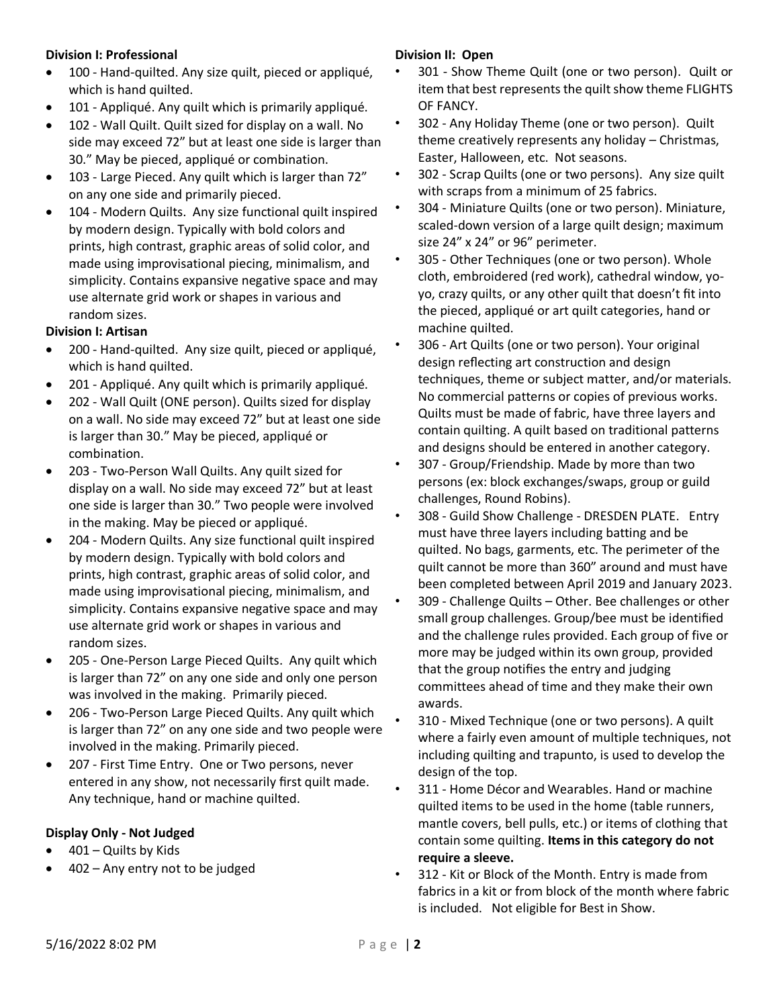### **Division I: Professional**

- 100 Hand-quilted. Any size quilt, pieced or appliqué, which is hand quilted.
- 101 Appliqué. Any quilt which is primarily appliqué.
- 102 Wall Quilt. Quilt sized for display on a wall. No side may exceed 72" but at least one side is larger than 30." May be pieced, appliqué or combination.
- 103 Large Pieced. Any quilt which is larger than 72" on any one side and primarily pieced.
- 104 Modern Quilts. Any size functional quilt inspired by modern design. Typically with bold colors and prints, high contrast, graphic areas of solid color, and made using improvisational piecing, minimalism, and simplicity. Contains expansive negative space and may use alternate grid work or shapes in various and random sizes.

### **Division I: Artisan**

- 200 Hand-quilted. Any size quilt, pieced or appliqué, which is hand quilted.
- 201 Appliqué. Any quilt which is primarily appliqué.
- 202 Wall Quilt (ONE person). Quilts sized for display on a wall. No side may exceed 72" but at least one side is larger than 30." May be pieced, appliqué or combination.
- 203 Two-Person Wall Quilts. Any quilt sized for display on a wall. No side may exceed 72" but at least one side is larger than 30." Two people were involved in the making. May be pieced or appliqué.
- 204 Modern Quilts. Any size functional quilt inspired by modern design. Typically with bold colors and prints, high contrast, graphic areas of solid color, and made using improvisational piecing, minimalism, and simplicity. Contains expansive negative space and may use alternate grid work or shapes in various and random sizes.
- 205 One-Person Large Pieced Quilts. Any quilt which is larger than 72" on any one side and only one person was involved in the making. Primarily pieced.
- 206 Two-Person Large Pieced Quilts. Any quilt which is larger than 72" on any one side and two people were involved in the making. Primarily pieced.
- 207 First Time Entry. One or Two persons, never entered in any show, not necessarily first quilt made. Any technique, hand or machine quilted.

### **Display Only - Not Judged**

- $401 -$  Quilts by Kids
- 402 Any entry not to be judged

### **Division II: Open**

- 301 Show Theme Quilt (one or two person). Quilt or item that best represents the quilt show theme FLIGHTS OF FANCY.
- 302 Any Holiday Theme (one or two person). Quilt theme creatively represents any holiday – Christmas, Easter, Halloween, etc. Not seasons.
- 302 Scrap Quilts (one or two persons). Any size quilt with scraps from a minimum of 25 fabrics.
- 304 Miniature Quilts (one or two person). Miniature, scaled-down version of a large quilt design; maximum size 24" x 24" or 96" perimeter.
- 305 Other Techniques (one or two person). Whole cloth, embroidered (red work), cathedral window, yoyo, crazy quilts, or any other quilt that doesn't fit into the pieced, appliqué or art quilt categories, hand or machine quilted.
- 306 Art Quilts (one or two person). Your original design reflecting art construction and design techniques, theme or subject matter, and/or materials. No commercial patterns or copies of previous works. Quilts must be made of fabric, have three layers and contain quilting. A quilt based on traditional patterns and designs should be entered in another category.
- 307 Group/Friendship. Made by more than two persons (ex: block exchanges/swaps, group or guild challenges, Round Robins).
- 308 Guild Show Challenge DRESDEN PLATE. Entry must have three layers including batting and be quilted. No bags, garments, etc. The perimeter of the quilt cannot be more than 360" around and must have been completed between April 2019 and January 2023.
- 309 Challenge Quilts Other. Bee challenges or other small group challenges. Group/bee must be identified and the challenge rules provided. Each group of five or more may be judged within its own group, provided that the group notifies the entry and judging committees ahead of time and they make their own awards.
- 310 Mixed Technique (one or two persons). A quilt where a fairly even amount of multiple techniques, not including quilting and trapunto, is used to develop the design of the top.
- 311 Home Décor and Wearables. Hand or machine quilted items to be used in the home (table runners, mantle covers, bell pulls, etc.) or items of clothing that contain some quilting. **Items in this category do not require a sleeve.**
- 312 Kit or Block of the Month. Entry is made from fabrics in a kit or from block of the month where fabric is included. Not eligible for Best in Show.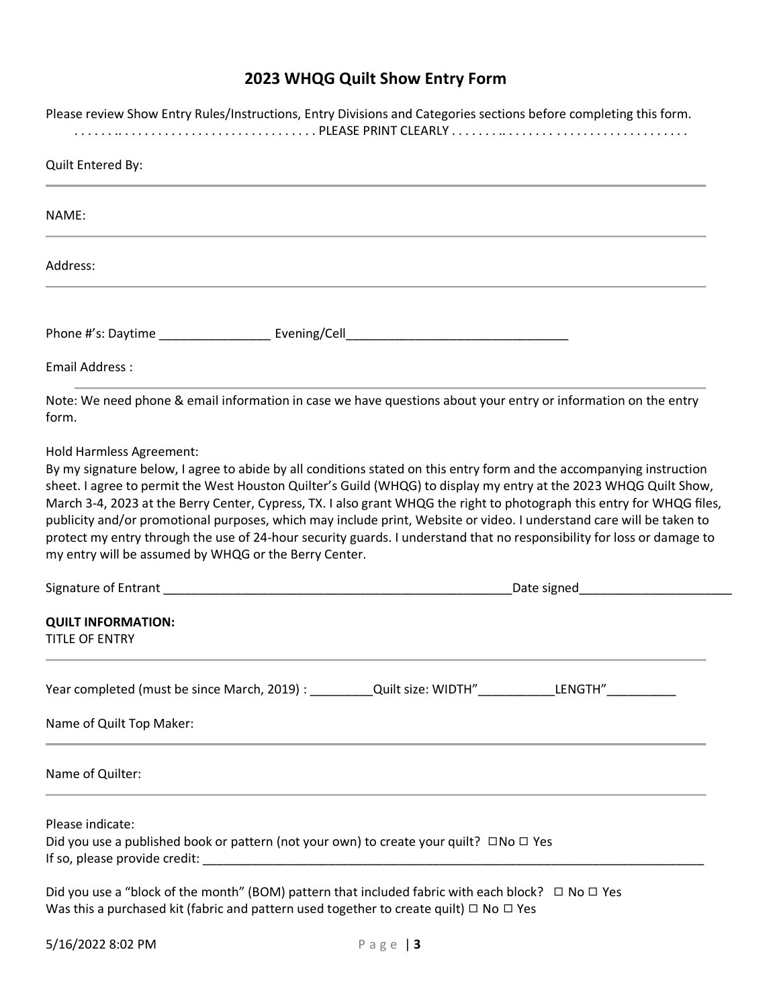## **2023 WHQG Quilt Show Entry Form**

| Please review Show Entry Rules/Instructions, Entry Divisions and Categories sections before completing this form. |                                                                                                                                                                                                                                                                                                                                                                                                                                                                                                                                                                                                                       |  |
|-------------------------------------------------------------------------------------------------------------------|-----------------------------------------------------------------------------------------------------------------------------------------------------------------------------------------------------------------------------------------------------------------------------------------------------------------------------------------------------------------------------------------------------------------------------------------------------------------------------------------------------------------------------------------------------------------------------------------------------------------------|--|
| Quilt Entered By:                                                                                                 |                                                                                                                                                                                                                                                                                                                                                                                                                                                                                                                                                                                                                       |  |
| NAME:                                                                                                             |                                                                                                                                                                                                                                                                                                                                                                                                                                                                                                                                                                                                                       |  |
| Address:                                                                                                          |                                                                                                                                                                                                                                                                                                                                                                                                                                                                                                                                                                                                                       |  |
|                                                                                                                   |                                                                                                                                                                                                                                                                                                                                                                                                                                                                                                                                                                                                                       |  |
| <b>Email Address:</b>                                                                                             |                                                                                                                                                                                                                                                                                                                                                                                                                                                                                                                                                                                                                       |  |
| form.                                                                                                             | Note: We need phone & email information in case we have questions about your entry or information on the entry                                                                                                                                                                                                                                                                                                                                                                                                                                                                                                        |  |
| my entry will be assumed by WHQG or the Berry Center.                                                             | By my signature below, I agree to abide by all conditions stated on this entry form and the accompanying instruction<br>sheet. I agree to permit the West Houston Quilter's Guild (WHQG) to display my entry at the 2023 WHQG Quilt Show,<br>March 3-4, 2023 at the Berry Center, Cypress, TX. I also grant WHQG the right to photograph this entry for WHQG files,<br>publicity and/or promotional purposes, which may include print, Website or video. I understand care will be taken to<br>protect my entry through the use of 24-hour security guards. I understand that no responsibility for loss or damage to |  |
|                                                                                                                   |                                                                                                                                                                                                                                                                                                                                                                                                                                                                                                                                                                                                                       |  |
| <b>QUILT INFORMATION:</b><br><b>TITLE OF ENTRY</b>                                                                |                                                                                                                                                                                                                                                                                                                                                                                                                                                                                                                                                                                                                       |  |
|                                                                                                                   | Year completed (must be since March, 2019) : __________Quilt size: WIDTH"___________LENGTH"_______________                                                                                                                                                                                                                                                                                                                                                                                                                                                                                                            |  |
| Name of Quilt Top Maker:                                                                                          |                                                                                                                                                                                                                                                                                                                                                                                                                                                                                                                                                                                                                       |  |
| Name of Quilter:                                                                                                  |                                                                                                                                                                                                                                                                                                                                                                                                                                                                                                                                                                                                                       |  |
| Please indicate:                                                                                                  | Did you use a published book or pattern (not your own) to create your quilt? $\square$ No $\square$ Yes                                                                                                                                                                                                                                                                                                                                                                                                                                                                                                               |  |
|                                                                                                                   | Did you use a "block of the month" (BOM) pattern that included fabric with each block? $\Box$ No $\Box$ Yes                                                                                                                                                                                                                                                                                                                                                                                                                                                                                                           |  |

Was this a purchased kit (fabric and pattern used together to create quilt)  $\Box$  No  $\Box$  Yes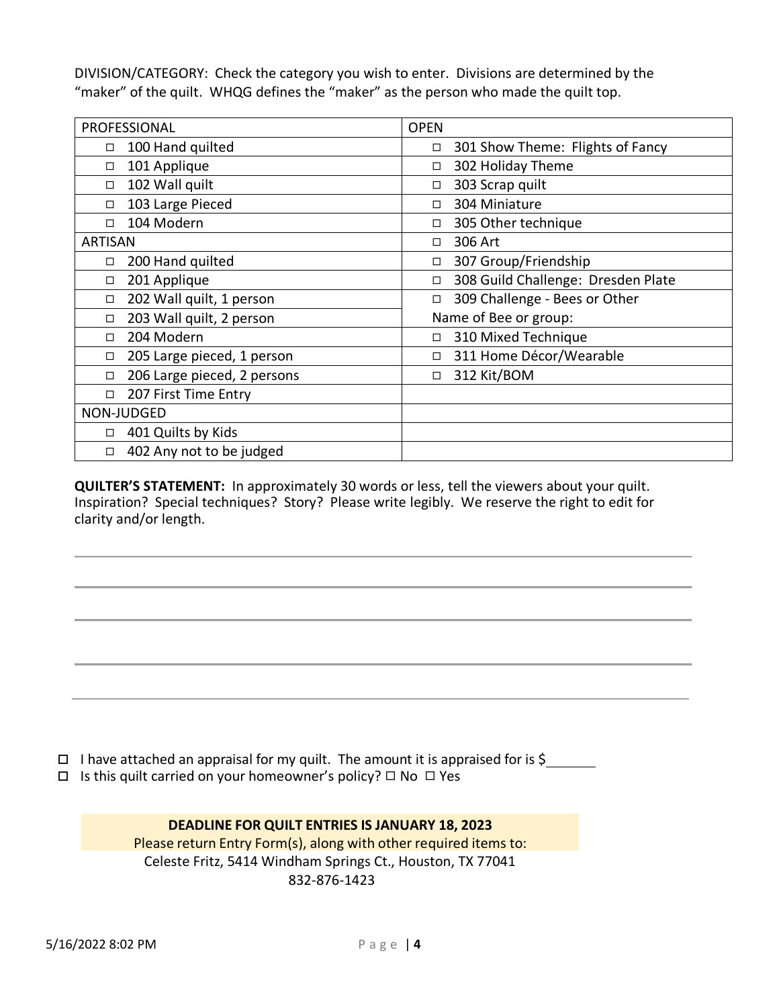DIVISION/CATEGORY: Check the category you wish to enter. Divisions are determined by the "maker" of the quilt. WHQG defines the "maker" as the person who made the quilt top.

| PROFESSIONAL                       | <b>OPEN</b>                                |
|------------------------------------|--------------------------------------------|
| 100 Hand quilted<br>□              | 301 Show Theme: Flights of Fancy<br>$\Box$ |
| 101 Applique<br>□                  | 302 Holiday Theme<br>□                     |
| 102 Wall quilt<br>$\Box$           | 303 Scrap quilt                            |
| 103 Large Pieced<br>□              | 304 Miniature                              |
| 104 Modern<br>п                    | 305 Other technique                        |
| <b>ARTISAN</b>                     | 306 Art<br>П                               |
| 200 Hand quilted<br>□              | 307 Group/Friendship<br>□                  |
| 201 Applique<br>□                  | 308 Guild Challenge: Dresden Plate<br>□    |
| 202 Wall quilt, 1 person<br>□      | 309 Challenge - Bees or Other              |
| 203 Wall quilt, 2 person<br>$\Box$ | Name of Bee or group:                      |
| 204 Modern<br>□                    | 310 Mixed Technique<br>□                   |
| 205 Large pieced, 1 person<br>□    | 311 Home Décor/Wearable<br>$\Box$          |
| 206 Large pieced, 2 persons<br>□   | 312 Kit/BOM<br>$\Box$                      |
| 207 First Time Entry<br>□          |                                            |
| NON-JUDGED                         |                                            |
| 401 Quilts by Kids<br>□            |                                            |
| 402 Any not to be judged<br>$\Box$ |                                            |

**QUILTER'S STATEMENT:** In approximately 30 words or less, tell the viewers about your quilt. Inspiration? Special techniques? Story? Please write legibly. We reserve the right to edit for clarity and/or length.

- $\Box$  I have attached an appraisal for my quilt. The amount it is appraised for is \$
- Is this quilt carried on your homeowner's policy? ◻ No ◻ Yes

### **DEADLINE FOR QUILT ENTRIES IS JANUARY 18, 2023** Please return Entry Form(s), along with other required items to:

Celeste Fritz, 5414 Windham Springs Ct., Houston, TX 77041 832-876-1423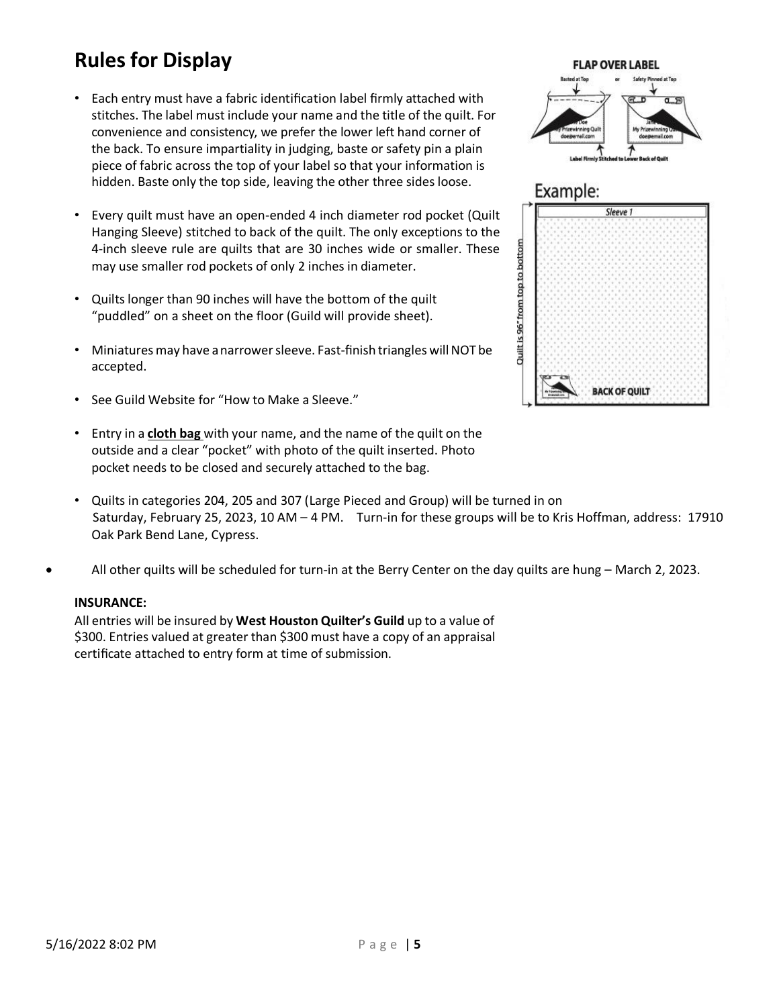# **Rules for Display**

- Each entry must have a fabric identification label firmly attached with stitches. The label must include your name and the title of the quilt. For convenience and consistency, we prefer the lower left hand corner of the back. To ensure impartiality in judging, baste or safety pin a plain piece of fabric across the top of your label so that your information is hidden. Baste only the top side, leaving the other three sides loose.
- Every quilt must have an open-ended 4 inch diameter rod pocket (Quilt Hanging Sleeve) stitched to back of the quilt. The only exceptions to the 4-inch sleeve rule are quilts that are 30 inches wide or smaller. These may use smaller rod pockets of only 2 inches in diameter.
- Quilts longer than 90 inches will have the bottom of the quilt "puddled" on a sheet on the floor (Guild will provide sheet).
- Miniatures may have a narrower sleeve. Fast-finish triangles will NOT be accepted.
- See Guild Website for "How to Make a Sleeve."
- Entry in a **cloth bag** with your name, and the name of the quilt on the outside and a clear "pocket" with photo of the quilt inserted. Photo pocket needs to be closed and securely attached to the bag.
- Quilts in categories 204, 205 and 307 (Large Pieced and Group) will be turned in on Saturday, February 25, 2023, 10 AM – 4 PM. Turn-in for these groups will be to Kris Hoffman, address: 17910 Oak Park Bend Lane, Cypress.
- All other quilts will be scheduled for turn-in at the Berry Center on the day quilts are hung March 2, 2023.

### **INSURANCE:**

All entries will be insured by **West Houston Quilter's Guild** up to a value of \$300. Entries valued at greater than \$300 must have a copy of an appraisal certificate attached to entry form at time of submission.



### Example:

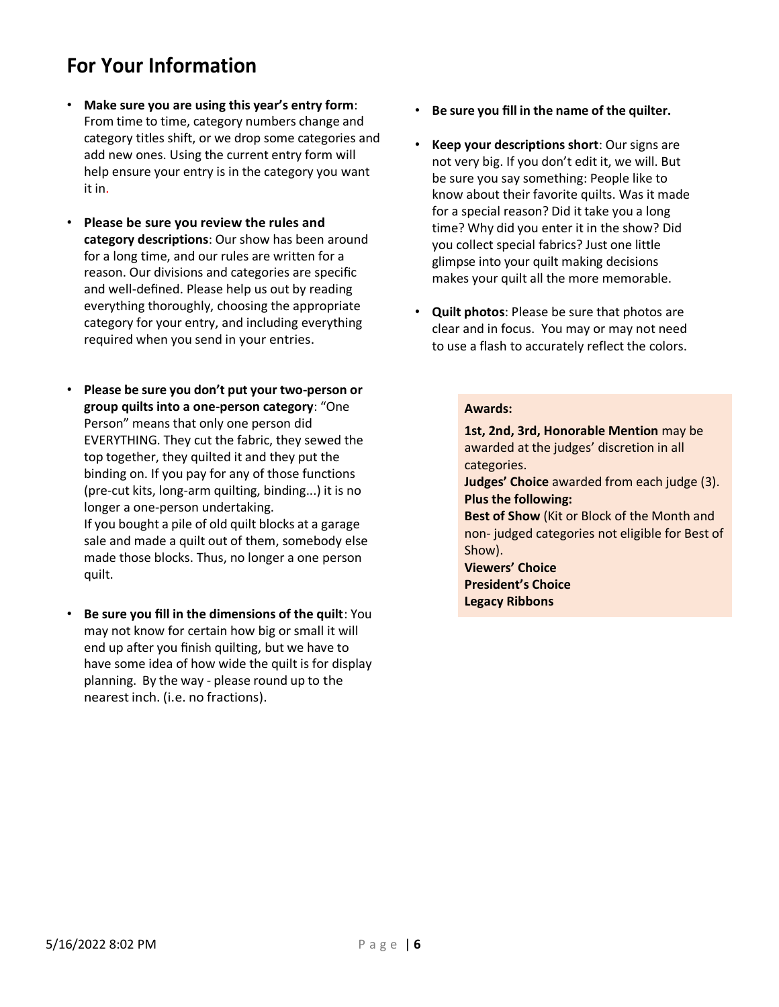## **For Your Information**

- **Make sure you are using this year's entry form**: From time to time, category numbers change and category titles shift, or we drop some categories and add new ones. Using the current entry form will help ensure your entry is in the category you want it in.
- **Please be sure you review the rules and category descriptions**: Our show has been around for a long time, and our rules are written for a reason. Our divisions and categories are specific and well-defined. Please help us out by reading everything thoroughly, choosing the appropriate category for your entry, and including everything required when you send in your entries.
- **Please be sure you don't put your two-person or group quilts into a one-person category**: "One Person" means that only one person did EVERYTHING. They cut the fabric, they sewed the top together, they quilted it and they put the binding on. If you pay for any of those functions (pre-cut kits, long-arm quilting, binding...) it is no longer a one-person undertaking. If you bought a pile of old quilt blocks at a garage sale and made a quilt out of them, somebody else made those blocks. Thus, no longer a one person quilt.
- **Be sure you fill in the dimensions of the quilt**: You may not know for certain how big or small it will end up after you finish quilting, but we have to have some idea of how wide the quilt is for display planning. By the way - please round up to the nearest inch. (i.e. no fractions).
- **Be sure you fill in the name of the quilter.**
- **Keep your descriptions short**: Our signs are not very big. If you don't edit it, we will. But be sure you say something: People like to know about their favorite quilts. Was it made for a special reason? Did it take you a long time? Why did you enter it in the show? Did you collect special fabrics? Just one little glimpse into your quilt making decisions makes your quilt all the more memorable.
- **Quilt photos**: Please be sure that photos are clear and in focus. You may or may not need to use a flash to accurately reflect the colors.

#### **Awards:**

**1st, 2nd, 3rd, Honorable Mention** may be awarded at the judges' discretion in all categories. **Judges' Choice** awarded from each judge (3). **Plus the following: Best of Show** (Kit or Block of the Month and non- judged categories not eligible for Best of Show). **Viewers' Choice President's Choice**

**Legacy Ribbons**